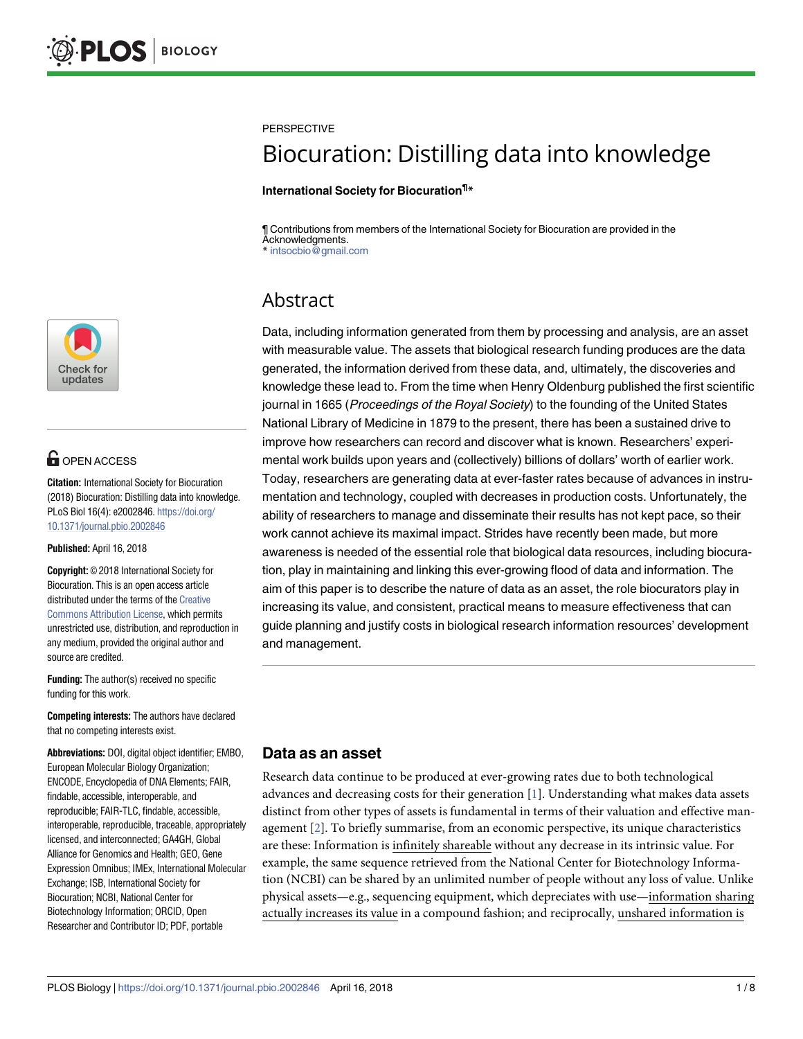

# **G** OPEN ACCESS

**Citation:** International Society for Biocuration (2018) Biocuration: Distilling data into knowledge. PLoS Biol 16(4): e2002846. [https://doi.org/](https://doi.org/10.1371/journal.pbio.2002846) [10.1371/journal.pbio.2002846](https://doi.org/10.1371/journal.pbio.2002846)

**Published:** April 16, 2018

**Copyright:** © 2018 International Society for Biocuration. This is an open access article distributed under the terms of the [Creative](http://creativecommons.org/licenses/by/4.0/) [Commons](http://creativecommons.org/licenses/by/4.0/) Attribution License, which permits unrestricted use, distribution, and reproduction in any medium, provided the original author and source are credited.

**Funding:** The author(s) received no specific funding for this work.

**Competing interests:** The authors have declared that no competing interests exist.

**Abbreviations:** DOI, digital object identifier; EMBO, European Molecular Biology Organization; ENCODE, Encyclopedia of DNA Elements; FAIR, findable, accessible, interoperable, and reproducible; FAIR-TLC, findable, accessible, interoperable, reproducible, traceable, appropriately licensed, and interconnected; GA4GH, Global Alliance for Genomics and Health; GEO, Gene Expression Omnibus; IMEx, International Molecular Exchange; ISB, International Society for Biocuration; NCBI, National Center for Biotechnology Information; ORCID, Open Researcher and Contributor ID; PDF, portable

<span id="page-0-0"></span>**PERSPECTIVE** 

# Biocuration: Distilling data into knowledge

**International Society for Biocuration¶ \***

¶ Contributions from members of the International Society for Biocuration are provided in the Acknowledgments.<br>\* intsochio@gmail \* intsocbio@gmail.com

# Abstract

Data, including information generated from them by processing and analysis, are an asset with measurable value. The assets that biological research funding produces are the data generated, the information derived from these data, and, ultimately, the discoveries and knowledge these lead to. From the time when Henry Oldenburg published the first scientific journal in 1665 (Proceedings of the Royal Society) to the founding of the United States National Library of Medicine in 1879 to the present, there has been a sustained drive to improve how researchers can record and discover what is known. Researchers' experimental work builds upon years and (collectively) billions of dollars' worth of earlier work. Today, researchers are generating data at ever-faster rates because of advances in instrumentation and technology, coupled with decreases in production costs. Unfortunately, the ability of researchers to manage and disseminate their results has not kept pace, so their work cannot achieve its maximal impact. Strides have recently been made, but more awareness is needed of the essential role that biological data resources, including biocuration, play in maintaining and linking this ever-growing flood of data and information. The aim of this paper is to describe the nature of data as an asset, the role biocurators play in increasing its value, and consistent, practical means to measure effectiveness that can guide planning and justify costs in biological research information resources' development and management.

#### **Data as an asset**

Research data continue to be produced at ever-growing rates due to both technological advances and decreasing costs for their generation [\[1](#page-5-0)]. Understanding what makes data assets distinct from other types of assets is fundamental in terms of their valuation and effective management [[2](#page-5-0)]. To briefly summarise, from an economic perspective, its unique characteristics are these: Information is infinitely shareable without any decrease in its intrinsic value. For example, the same sequence retrieved from the National Center for Biotechnology Information (NCBI) can be shared by an unlimited number of people without any loss of value. Unlike physical assets—e.g., sequencing equipment, which depreciates with use—information sharing actually increases its value in a compound fashion; and reciprocally, unshared information is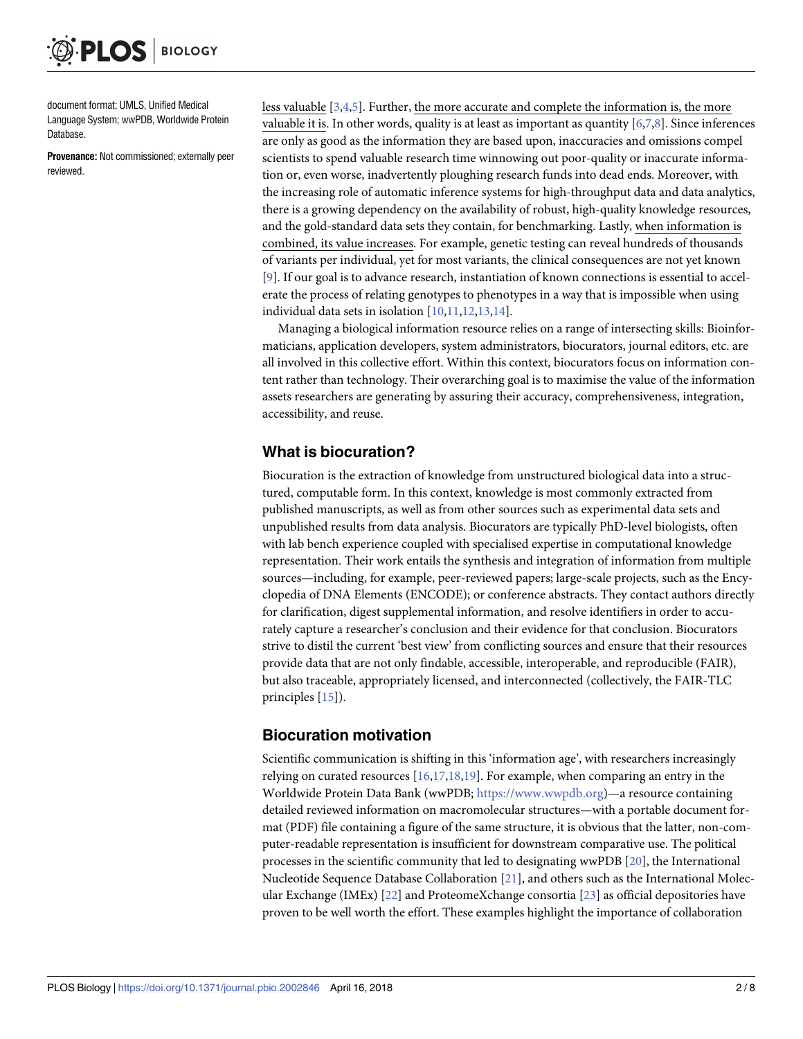<span id="page-1-0"></span>document format; UMLS, Unified Medical Language System; wwPDB, Worldwide Protein Database.

**Provenance:** Not commissioned; externally peer reviewed.

less valuable [\[3,4,5](#page-5-0)]. Further, the more accurate and complete the information is, the more valuable it is. In other words, quality is at least as important as quantity [\[6,7,8\]](#page-5-0). Since inferences are only as good as the information they are based upon, inaccuracies and omissions compel scientists to spend valuable research time winnowing out poor-quality or inaccurate information or, even worse, inadvertently ploughing research funds into dead ends. Moreover, with the increasing role of automatic inference systems for high-throughput data and data analytics, there is a growing dependency on the availability of robust, high-quality knowledge resources, and the gold-standard data sets they contain, for benchmarking. Lastly, when information is combined, its value increases. For example, genetic testing can reveal hundreds of thousands of variants per individual, yet for most variants, the clinical consequences are not yet known [\[9](#page-5-0)]. If our goal is to advance research, instantiation of known connections is essential to accelerate the process of relating genotypes to phenotypes in a way that is impossible when using individual data sets in isolation [\[10,11](#page-5-0),[12,13,14\]](#page-5-0).

Managing a biological information resource relies on a range of intersecting skills: Bioinformaticians, application developers, system administrators, biocurators, journal editors, etc. are all involved in this collective effort. Within this context, biocurators focus on information content rather than technology. Their overarching goal is to maximise the value of the information assets researchers are generating by assuring their accuracy, comprehensiveness, integration, accessibility, and reuse.

### **What is biocuration?**

Biocuration is the extraction of knowledge from unstructured biological data into a structured, computable form. In this context, knowledge is most commonly extracted from published manuscripts, as well as from other sources such as experimental data sets and unpublished results from data analysis. Biocurators are typically PhD-level biologists, often with lab bench experience coupled with specialised expertise in computational knowledge representation. Their work entails the synthesis and integration of information from multiple sources—including, for example, peer-reviewed papers; large-scale projects, such as the Encyclopedia of DNA Elements (ENCODE); or conference abstracts. They contact authors directly for clarification, digest supplemental information, and resolve identifiers in order to accurately capture a researcher's conclusion and their evidence for that conclusion. Biocurators strive to distil the current 'best view' from conflicting sources and ensure that their resources provide data that are not only findable, accessible, interoperable, and reproducible (FAIR), but also traceable, appropriately licensed, and interconnected (collectively, the FAIR-TLC principles [\[15\]](#page-5-0)).

## **Biocuration motivation**

Scientific communication is shifting in this 'information age', with researchers increasingly relying on curated resources [\[16,17,18](#page-5-0),[19](#page-5-0)]. For example, when comparing an entry in the Worldwide Protein Data Bank (wwPDB; <https://www.wwpdb.org>)—a resource containing detailed reviewed information on macromolecular structures—with a portable document format (PDF) file containing a figure of the same structure, it is obvious that the latter, non-computer-readable representation is insufficient for downstream comparative use. The political processes in the scientific community that led to designating wwPDB [\[20](#page-5-0)], the International Nucleotide Sequence Database Collaboration [\[21\]](#page-5-0), and others such as the International Molecular Exchange (IMEx) [[22](#page-5-0)] and ProteomeXchange consortia [\[23\]](#page-6-0) as official depositories have proven to be well worth the effort. These examples highlight the importance of collaboration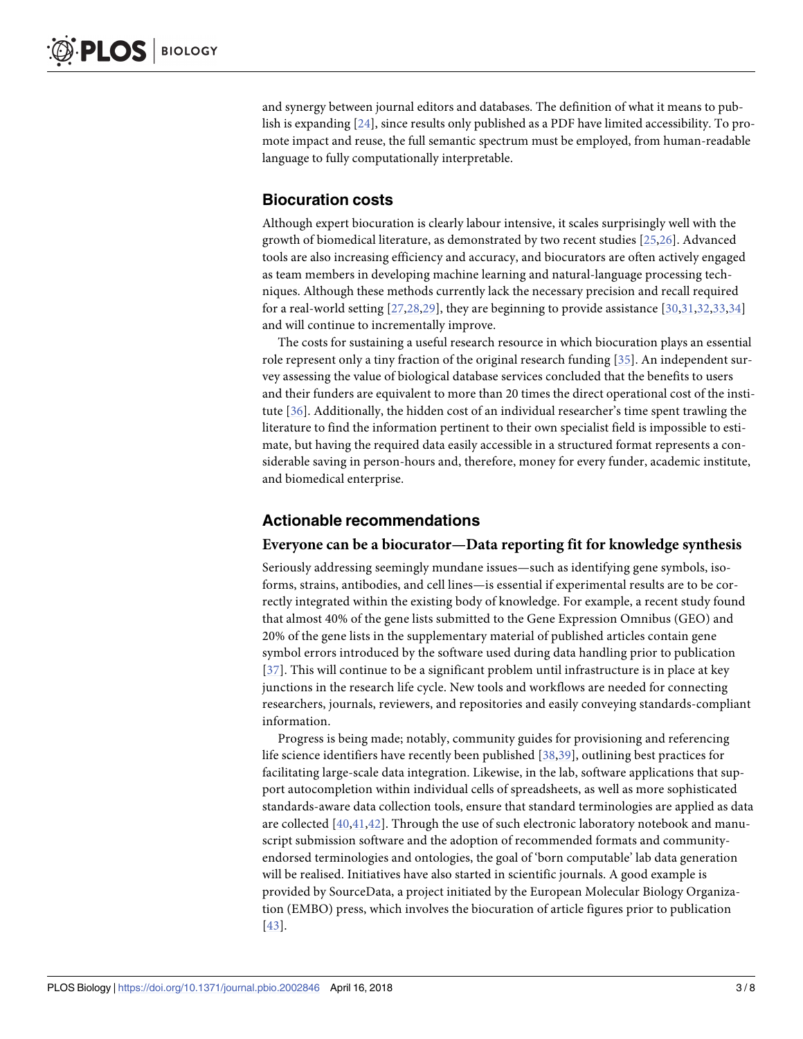<span id="page-2-0"></span>and synergy between journal editors and databases. The definition of what it means to publish is expanding [[24\]](#page-6-0), since results only published as a PDF have limited accessibility. To promote impact and reuse, the full semantic spectrum must be employed, from human-readable language to fully computationally interpretable.

#### **Biocuration costs**

Although expert biocuration is clearly labour intensive, it scales surprisingly well with the growth of biomedical literature, as demonstrated by two recent studies [[25,26\]](#page-6-0). Advanced tools are also increasing efficiency and accuracy, and biocurators are often actively engaged as team members in developing machine learning and natural-language processing techniques. Although these methods currently lack the necessary precision and recall required for a real-world setting [\[27,28,29](#page-6-0)], they are beginning to provide assistance [[30](#page-6-0),[31](#page-6-0),[32](#page-6-0),[33](#page-6-0),[34\]](#page-6-0) and will continue to incrementally improve.

The costs for sustaining a useful research resource in which biocuration plays an essential role represent only a tiny fraction of the original research funding [\[35\]](#page-6-0). An independent survey assessing the value of biological database services concluded that the benefits to users and their funders are equivalent to more than 20 times the direct operational cost of the institute [[36](#page-6-0)]. Additionally, the hidden cost of an individual researcher's time spent trawling the literature to find the information pertinent to their own specialist field is impossible to estimate, but having the required data easily accessible in a structured format represents a considerable saving in person-hours and, therefore, money for every funder, academic institute, and biomedical enterprise.

#### **Actionable recommendations**

#### **Everyone can be a biocurator—Data reporting fit for knowledge synthesis**

Seriously addressing seemingly mundane issues—such as identifying gene symbols, isoforms, strains, antibodies, and cell lines—is essential if experimental results are to be correctly integrated within the existing body of knowledge. For example, a recent study found that almost 40% of the gene lists submitted to the Gene Expression Omnibus (GEO) and 20% of the gene lists in the supplementary material of published articles contain gene symbol errors introduced by the software used during data handling prior to publication [[37](#page-6-0)]. This will continue to be a significant problem until infrastructure is in place at key junctions in the research life cycle. New tools and workflows are needed for connecting researchers, journals, reviewers, and repositories and easily conveying standards-compliant information.

Progress is being made; notably, community guides for provisioning and referencing life science identifiers have recently been published [[38,39\]](#page-6-0), outlining best practices for facilitating large-scale data integration. Likewise, in the lab, software applications that support autocompletion within individual cells of spreadsheets, as well as more sophisticated standards-aware data collection tools, ensure that standard terminologies are applied as data are collected  $[40, 41, 42]$  $[40, 41, 42]$  $[40, 41, 42]$ . Through the use of such electronic laboratory notebook and manuscript submission software and the adoption of recommended formats and communityendorsed terminologies and ontologies, the goal of 'born computable' lab data generation will be realised. Initiatives have also started in scientific journals. A good example is provided by SourceData, a project initiated by the European Molecular Biology Organization (EMBO) press, which involves the biocuration of article figures prior to publication [[43](#page-6-0)].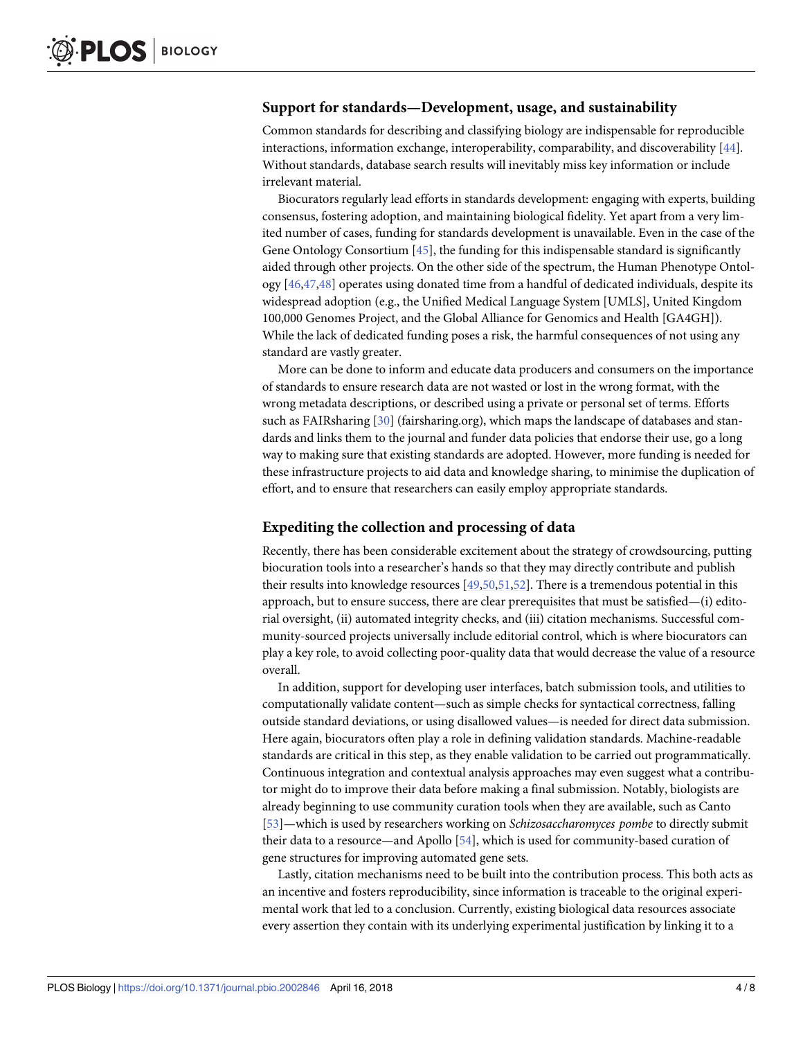#### <span id="page-3-0"></span>**Support for standards—Development, usage, and sustainability**

Common standards for describing and classifying biology are indispensable for reproducible interactions, information exchange, interoperability, comparability, and discoverability [[44](#page-7-0)]. Without standards, database search results will inevitably miss key information or include irrelevant material.

Biocurators regularly lead efforts in standards development: engaging with experts, building consensus, fostering adoption, and maintaining biological fidelity. Yet apart from a very limited number of cases, funding for standards development is unavailable. Even in the case of the Gene Ontology Consortium [[45](#page-7-0)], the funding for this indispensable standard is significantly aided through other projects. On the other side of the spectrum, the Human Phenotype Ontology [[46](#page-7-0),[47,48\]](#page-7-0) operates using donated time from a handful of dedicated individuals, despite its widespread adoption (e.g., the Unified Medical Language System [UMLS], United Kingdom 100,000 Genomes Project, and the Global Alliance for Genomics and Health [GA4GH]). While the lack of dedicated funding poses a risk, the harmful consequences of not using any standard are vastly greater.

More can be done to inform and educate data producers and consumers on the importance of standards to ensure research data are not wasted or lost in the wrong format, with the wrong metadata descriptions, or described using a private or personal set of terms. Efforts such as FAIRsharing [[30](#page-6-0)] (fairsharing.org), which maps the landscape of databases and standards and links them to the journal and funder data policies that endorse their use, go a long way to making sure that existing standards are adopted. However, more funding is needed for these infrastructure projects to aid data and knowledge sharing, to minimise the duplication of effort, and to ensure that researchers can easily employ appropriate standards.

#### **Expediting the collection and processing of data**

Recently, there has been considerable excitement about the strategy of crowdsourcing, putting biocuration tools into a researcher's hands so that they may directly contribute and publish their results into knowledge resources [\[49,50,51](#page-7-0),[52](#page-7-0)]. There is a tremendous potential in this approach, but to ensure success, there are clear prerequisites that must be satisfied—(i) editorial oversight, (ii) automated integrity checks, and (iii) citation mechanisms. Successful community-sourced projects universally include editorial control, which is where biocurators can play a key role, to avoid collecting poor-quality data that would decrease the value of a resource overall.

In addition, support for developing user interfaces, batch submission tools, and utilities to computationally validate content—such as simple checks for syntactical correctness, falling outside standard deviations, or using disallowed values—is needed for direct data submission. Here again, biocurators often play a role in defining validation standards. Machine-readable standards are critical in this step, as they enable validation to be carried out programmatically. Continuous integration and contextual analysis approaches may even suggest what a contributor might do to improve their data before making a final submission. Notably, biologists are already beginning to use community curation tools when they are available, such as Canto [\[53\]](#page-7-0)—which is used by researchers working on *Schizosaccharomyces pombe* to directly submit their data to a resource—and Apollo [\[54\]](#page-7-0), which is used for community-based curation of gene structures for improving automated gene sets.

Lastly, citation mechanisms need to be built into the contribution process. This both acts as an incentive and fosters reproducibility, since information is traceable to the original experimental work that led to a conclusion. Currently, existing biological data resources associate every assertion they contain with its underlying experimental justification by linking it to a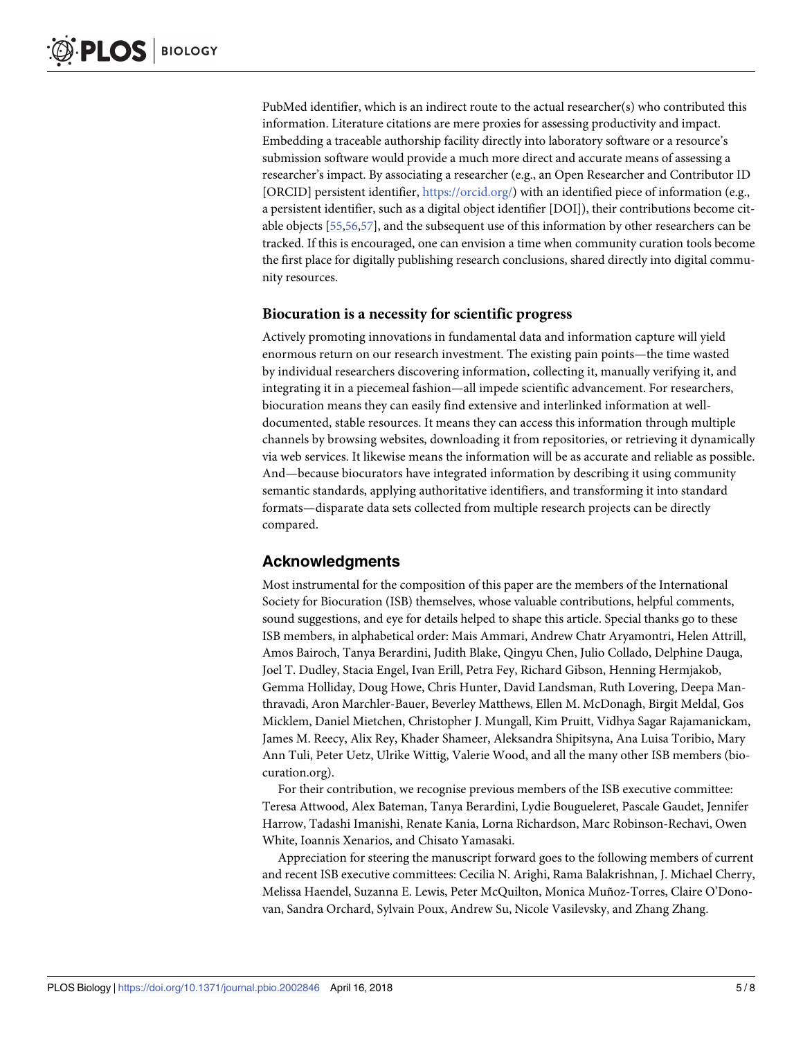<span id="page-4-0"></span>PubMed identifier, which is an indirect route to the actual researcher(s) who contributed this information. Literature citations are mere proxies for assessing productivity and impact. Embedding a traceable authorship facility directly into laboratory software or a resource's submission software would provide a much more direct and accurate means of assessing a researcher's impact. By associating a researcher (e.g., an Open Researcher and Contributor ID [ORCID] persistent identifier, [https://orcid.org/\)](https://orcid.org/) with an identified piece of information (e.g., a persistent identifier, such as a digital object identifier [DOI]), their contributions become citable objects [[55,56,57\]](#page-7-0), and the subsequent use of this information by other researchers can be tracked. If this is encouraged, one can envision a time when community curation tools become the first place for digitally publishing research conclusions, shared directly into digital community resources.

#### **Biocuration is a necessity for scientific progress**

Actively promoting innovations in fundamental data and information capture will yield enormous return on our research investment. The existing pain points—the time wasted by individual researchers discovering information, collecting it, manually verifying it, and integrating it in a piecemeal fashion—all impede scientific advancement. For researchers, biocuration means they can easily find extensive and interlinked information at welldocumented, stable resources. It means they can access this information through multiple channels by browsing websites, downloading it from repositories, or retrieving it dynamically via web services. It likewise means the information will be as accurate and reliable as possible. And—because biocurators have integrated information by describing it using community semantic standards, applying authoritative identifiers, and transforming it into standard formats—disparate data sets collected from multiple research projects can be directly compared.

## **Acknowledgments**

Most instrumental for the composition of this paper are the members of the International Society for Biocuration (ISB) themselves, whose valuable contributions, helpful comments, sound suggestions, and eye for details helped to shape this article. Special thanks go to these ISB members, in alphabetical order: Mais Ammari, Andrew Chatr Aryamontri, Helen Attrill, Amos Bairoch, Tanya Berardini, Judith Blake, Qingyu Chen, Julio Collado, Delphine Dauga, Joel T. Dudley, Stacia Engel, Ivan Erill, Petra Fey, Richard Gibson, Henning Hermjakob, Gemma Holliday, Doug Howe, Chris Hunter, David Landsman, Ruth Lovering, Deepa Manthravadi, Aron Marchler-Bauer, Beverley Matthews, Ellen M. McDonagh, Birgit Meldal, Gos Micklem, Daniel Mietchen, Christopher J. Mungall, Kim Pruitt, Vidhya Sagar Rajamanickam, James M. Reecy, Alix Rey, Khader Shameer, Aleksandra Shipitsyna, Ana Luisa Toribio, Mary Ann Tuli, Peter Uetz, Ulrike Wittig, Valerie Wood, and all the many other ISB members (biocuration.org).

For their contribution, we recognise previous members of the ISB executive committee: Teresa Attwood, Alex Bateman, Tanya Berardini, Lydie Bougueleret, Pascale Gaudet, Jennifer Harrow, Tadashi Imanishi, Renate Kania, Lorna Richardson, Marc Robinson-Rechavi, Owen White, Ioannis Xenarios, and Chisato Yamasaki.

Appreciation for steering the manuscript forward goes to the following members of current and recent ISB executive committees: Cecilia N. Arighi, Rama Balakrishnan, J. Michael Cherry, Melissa Haendel, Suzanna E. Lewis, Peter McQuilton, Monica Muñoz-Torres, Claire O'Donovan, Sandra Orchard, Sylvain Poux, Andrew Su, Nicole Vasilevsky, and Zhang Zhang.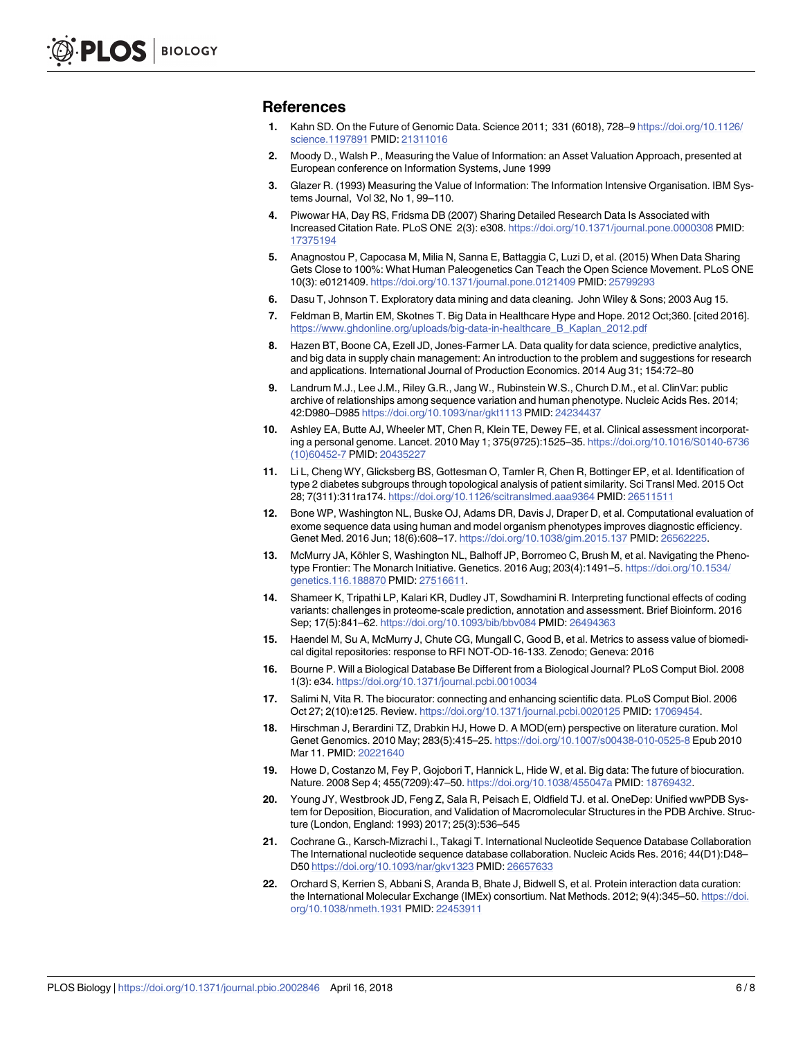#### <span id="page-5-0"></span>**References**

- **[1](#page-0-0).** Kahn SD. On the Future of Genomic Data. Science 2011; 331 (6018), 728–9 [https://doi.org/10.1126/](https://doi.org/10.1126/science.1197891) [science.1197891](https://doi.org/10.1126/science.1197891) PMID: [21311016](http://www.ncbi.nlm.nih.gov/pubmed/21311016)
- **[2](#page-0-0).** Moody D., Walsh P., Measuring the Value of Information: an Asset Valuation Approach, presented at European conference on Information Systems, June 1999
- **[3](#page-1-0).** Glazer R. (1993) Measuring the Value of Information: The Information Intensive Organisation. IBM Systems Journal, Vol 32, No 1, 99–110.
- **[4](#page-1-0).** Piwowar HA, Day RS, Fridsma DB (2007) Sharing Detailed Research Data Is Associated with Increased Citation Rate. PLoS ONE 2(3): e308. <https://doi.org/10.1371/journal.pone.0000308> PMID: [17375194](http://www.ncbi.nlm.nih.gov/pubmed/17375194)
- **[5](#page-1-0).** Anagnostou P, Capocasa M, Milia N, Sanna E, Battaggia C, Luzi D, et al. (2015) When Data Sharing Gets Close to 100%: What Human Paleogenetics Can Teach the Open Science Movement. PLoS ONE 10(3): e0121409. <https://doi.org/10.1371/journal.pone.0121409> PMID: [25799293](http://www.ncbi.nlm.nih.gov/pubmed/25799293)
- **[6](#page-1-0).** Dasu T, Johnson T. Exploratory data mining and data cleaning. John Wiley & Sons; 2003 Aug 15.
- **[7](#page-1-0).** Feldman B, Martin EM, Skotnes T. Big Data in Healthcare Hype and Hope. 2012 Oct;360. [cited 2016]. [https://www.ghdonline.org/uploads/big-data-in-healthcare\\_B\\_Kaplan\\_2012.pdf](https://www.ghdonline.org/uploads/big-data-in-healthcare_B_Kaplan_2012.pdf)
- **[8](#page-1-0).** Hazen BT, Boone CA, Ezell JD, Jones-Farmer LA. Data quality for data science, predictive analytics, and big data in supply chain management: An introduction to the problem and suggestions for research and applications. International Journal of Production Economics. 2014 Aug 31; 154:72–80
- **[9](#page-1-0).** Landrum M.J., Lee J.M., Riley G.R., Jang W., Rubinstein W.S., Church D.M., et al. ClinVar: public archive of relationships among sequence variation and human phenotype. Nucleic Acids Res. 2014; 42:D980–D985 <https://doi.org/10.1093/nar/gkt1113> PMID: [24234437](http://www.ncbi.nlm.nih.gov/pubmed/24234437)
- **[10](#page-1-0).** Ashley EA, Butte AJ, Wheeler MT, Chen R, Klein TE, Dewey FE, et al. Clinical assessment incorporating a personal genome. Lancet. 2010 May 1; 375(9725):1525–35. [https://doi.org/10.1016/S0140-6736](https://doi.org/10.1016/S0140-6736(10)60452-7) [\(10\)60452-7](https://doi.org/10.1016/S0140-6736(10)60452-7) PMID: [20435227](http://www.ncbi.nlm.nih.gov/pubmed/20435227)
- **[11](#page-1-0).** Li L, Cheng WY, Glicksberg BS, Gottesman O, Tamler R, Chen R, Bottinger EP, et al. Identification of type 2 diabetes subgroups through topological analysis of patient similarity. Sci Transl Med. 2015 Oct 28; 7(311):311ra174. <https://doi.org/10.1126/scitranslmed.aaa9364> PMID: [26511511](http://www.ncbi.nlm.nih.gov/pubmed/26511511)
- **[12](#page-1-0).** Bone WP, Washington NL, Buske OJ, Adams DR, Davis J, Draper D, et al. Computational evaluation of exome sequence data using human and model organism phenotypes improves diagnostic efficiency. Genet Med. 2016 Jun; 18(6):608–17. <https://doi.org/10.1038/gim.2015.137> PMID: [26562225](http://www.ncbi.nlm.nih.gov/pubmed/26562225).
- **[13](#page-1-0).** McMurry JA, Köhler S, Washington NL, Balhoff JP, Borromeo C, Brush M, et al. Navigating the Phenotype Frontier: The Monarch Initiative. Genetics. 2016 Aug; 203(4):1491–5. [https://doi.org/10.1534/](https://doi.org/10.1534/genetics.116.188870) [genetics.116.188870](https://doi.org/10.1534/genetics.116.188870) PMID: [27516611.](http://www.ncbi.nlm.nih.gov/pubmed/27516611)
- **[14](#page-1-0).** Shameer K, Tripathi LP, Kalari KR, Dudley JT, Sowdhamini R. Interpreting functional effects of coding variants: challenges in proteome-scale prediction, annotation and assessment. Brief Bioinform. 2016 Sep; 17(5):841–62. <https://doi.org/10.1093/bib/bbv084> PMID: [26494363](http://www.ncbi.nlm.nih.gov/pubmed/26494363)
- **[15](#page-1-0).** Haendel M, Su A, McMurry J, Chute CG, Mungall C, Good B, et al. Metrics to assess value of biomedical digital repositories: response to RFI NOT-OD-16-133. Zenodo; Geneva: 2016
- **[16](#page-1-0).** Bourne P. Will a Biological Database Be Different from a Biological Journal? PLoS Comput Biol. 2008 1(3): e34. <https://doi.org/10.1371/journal.pcbi.0010034>
- **[17](#page-1-0).** Salimi N, Vita R. The biocurator: connecting and enhancing scientific data. PLoS Comput Biol. 2006 Oct 27; 2(10):e125. Review. <https://doi.org/10.1371/journal.pcbi.0020125> PMID: [17069454.](http://www.ncbi.nlm.nih.gov/pubmed/17069454)
- **[18](#page-1-0).** Hirschman J, Berardini TZ, Drabkin HJ, Howe D. A MOD(ern) perspective on literature curation. Mol Genet Genomics. 2010 May; 283(5):415–25. <https://doi.org/10.1007/s00438-010-0525-8> Epub 2010 Mar 11. PMID: [20221640](http://www.ncbi.nlm.nih.gov/pubmed/20221640)
- **[19](#page-1-0).** Howe D, Costanzo M, Fey P, Gojobori T, Hannick L, Hide W, et al. Big data: The future of biocuration. Nature. 2008 Sep 4; 455(7209):47–50. <https://doi.org/10.1038/455047a> PMID: [18769432.](http://www.ncbi.nlm.nih.gov/pubmed/18769432)
- **[20](#page-1-0).** Young JY, Westbrook JD, Feng Z, Sala R, Peisach E, Oldfield TJ. et al. OneDep: Unified wwPDB System for Deposition, Biocuration, and Validation of Macromolecular Structures in the PDB Archive. Structure (London, England: 1993) 2017; 25(3):536–545
- **[21](#page-1-0).** Cochrane G., Karsch-Mizrachi I., Takagi T. International Nucleotide Sequence Database Collaboration The International nucleotide sequence database collaboration. Nucleic Acids Res. 2016; 44(D1):D48– D50 <https://doi.org/10.1093/nar/gkv1323> PMID: [26657633](http://www.ncbi.nlm.nih.gov/pubmed/26657633)
- **[22](#page-1-0).** Orchard S, Kerrien S, Abbani S, Aranda B, Bhate J, Bidwell S, et al. Protein interaction data curation: the International Molecular Exchange (IMEx) consortium. Nat Methods. 2012; 9(4):345–50. [https://doi.](https://doi.org/10.1038/nmeth.1931) [org/10.1038/nmeth.1931](https://doi.org/10.1038/nmeth.1931) PMID: [22453911](http://www.ncbi.nlm.nih.gov/pubmed/22453911)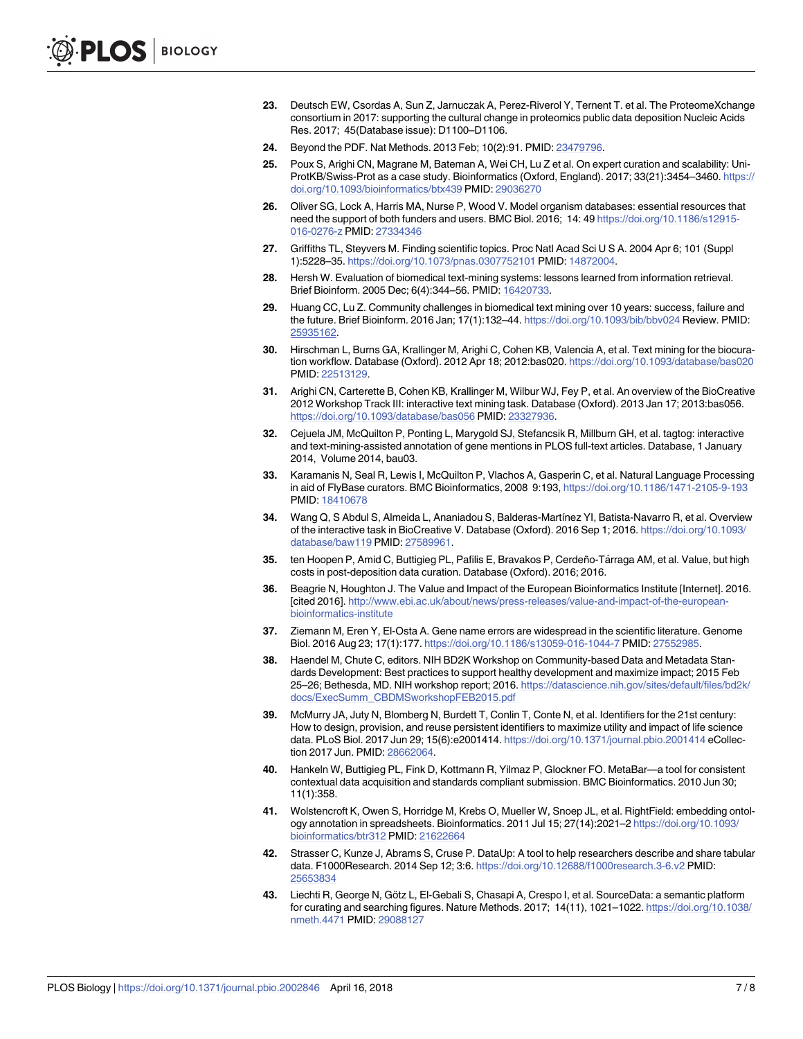- <span id="page-6-0"></span>**[23](#page-1-0).** Deutsch EW, Csordas A, Sun Z, Jarnuczak A, Perez-Riverol Y, Ternent T. et al. The ProteomeXchange consortium in 2017: supporting the cultural change in proteomics public data deposition Nucleic Acids Res. 2017; 45(Database issue): D1100–D1106.
- **[24](#page-2-0).** Beyond the PDF. Nat Methods. 2013 Feb; 10(2):91. PMID: [23479796](http://www.ncbi.nlm.nih.gov/pubmed/23479796).
- **[25](#page-2-0).** Poux S, Arighi CN, Magrane M, Bateman A, Wei CH, Lu Z et al. On expert curation and scalability: Uni-ProtKB/Swiss-Prot as a case study. Bioinformatics (Oxford, England). 2017; 33(21):3454–3460. [https://](https://doi.org/10.1093/bioinformatics/btx439) [doi.org/10.1093/bioinformatics/btx439](https://doi.org/10.1093/bioinformatics/btx439) PMID: [29036270](http://www.ncbi.nlm.nih.gov/pubmed/29036270)
- **[26](#page-2-0).** Oliver SG, Lock A, Harris MA, Nurse P, Wood V. Model organism databases: essential resources that need the support of both funders and users. BMC Biol. 2016; 14: 49 [https://doi.org/10.1186/s12915-](https://doi.org/10.1186/s12915-016-0276-z) [016-0276-z](https://doi.org/10.1186/s12915-016-0276-z) PMID: [27334346](http://www.ncbi.nlm.nih.gov/pubmed/27334346)
- **[27](#page-2-0).** Griffiths TL, Steyvers M. Finding scientific topics. Proc Natl Acad Sci U S A. 2004 Apr 6; 101 (Suppl 1):5228–35. <https://doi.org/10.1073/pnas.0307752101> PMID: [14872004.](http://www.ncbi.nlm.nih.gov/pubmed/14872004)
- **[28](#page-2-0).** Hersh W. Evaluation of biomedical text-mining systems: lessons learned from information retrieval. Brief Bioinform. 2005 Dec; 6(4):344–56. PMID: [16420733.](http://www.ncbi.nlm.nih.gov/pubmed/16420733)
- **[29](#page-2-0).** Huang CC, Lu Z. Community challenges in biomedical text mining over 10 years: success, failure and the future. Brief Bioinform. 2016 Jan; 17(1):132–44. <https://doi.org/10.1093/bib/bbv024> Review. PMID: [25935162](http://www.ncbi.nlm.nih.gov/pubmed/25935162).
- **[30](#page-2-0).** Hirschman L, Burns GA, Krallinger M, Arighi C, Cohen KB, Valencia A, et al. Text mining for the biocuration workflow. Database (Oxford). 2012 Apr 18; 2012:bas020. <https://doi.org/10.1093/database/bas020> PMID: [22513129](http://www.ncbi.nlm.nih.gov/pubmed/22513129).
- **[31](#page-2-0).** Arighi CN, Carterette B, Cohen KB, Krallinger M, Wilbur WJ, Fey P, et al. An overview of the BioCreative 2012 Workshop Track III: interactive text mining task. Database (Oxford). 2013 Jan 17; 2013:bas056. <https://doi.org/10.1093/database/bas056> PMID: [23327936.](http://www.ncbi.nlm.nih.gov/pubmed/23327936)
- **[32](#page-2-0).** Cejuela JM, McQuilton P, Ponting L, Marygold SJ, Stefancsik R, Millburn GH, et al. tagtog: interactive and text-mining-assisted annotation of gene mentions in PLOS full-text articles. Database, 1 January 2014, Volume 2014, bau03.
- **[33](#page-2-0).** Karamanis N, Seal R, Lewis I, McQuilton P, Vlachos A, Gasperin C, et al. Natural Language Processing in aid of FlyBase curators. BMC Bioinformatics, 2008 9:193, <https://doi.org/10.1186/1471-2105-9-193> PMID: [18410678](http://www.ncbi.nlm.nih.gov/pubmed/18410678)
- **[34](#page-2-0).** Wang Q, S Abdul S, Almeida L, Ananiadou S, Balderas-Martı´nez YI, Batista-Navarro R, et al. Overview of the interactive task in BioCreative V. Database (Oxford). 2016 Sep 1; 2016. [https://doi.org/10.1093/](https://doi.org/10.1093/database/baw119) [database/baw119](https://doi.org/10.1093/database/baw119) PMID: [27589961](http://www.ncbi.nlm.nih.gov/pubmed/27589961).
- **[35](#page-2-0).** ten Hoopen P, Amid C, Buttigieg PL, Pafilis E, Bravakos P, Cerdeño-Ta´rraga AM, et al. Value, but high costs in post-deposition data curation. Database (Oxford). 2016; 2016.
- **[36](#page-2-0).** Beagrie N, Houghton J. The Value and Impact of the European Bioinformatics Institute [Internet]. 2016. [cited 2016]. [http://www.ebi.ac.uk/about/news/press-releases/value-and-impact-of-the-european](http://www.ebi.ac.uk/about/news/press-releases/value-and-impact-of-the-european-bioinformatics-institute)[bioinformatics-institute](http://www.ebi.ac.uk/about/news/press-releases/value-and-impact-of-the-european-bioinformatics-institute)
- **[37](#page-2-0).** Ziemann M, Eren Y, El-Osta A. Gene name errors are widespread in the scientific literature. Genome Biol. 2016 Aug 23; 17(1):177. <https://doi.org/10.1186/s13059-016-1044-7> PMID: [27552985](http://www.ncbi.nlm.nih.gov/pubmed/27552985).
- **[38](#page-2-0).** Haendel M, Chute C, editors. NIH BD2K Workshop on Community-based Data and Metadata Standards Development: Best practices to support healthy development and maximize impact; 2015 Feb 25–26; Bethesda, MD. NIH workshop report; 2016. [https://datascience.nih.gov/sites/default/files/bd2k/](https://datascience.nih.gov/sites/default/files/bd2k/docs/ExecSumm_CBDMSworkshopFEB2015.pdf) [docs/ExecSumm\\_CBDMSworkshopFEB2015.pdf](https://datascience.nih.gov/sites/default/files/bd2k/docs/ExecSumm_CBDMSworkshopFEB2015.pdf)
- **[39](#page-2-0).** McMurry JA, Juty N, Blomberg N, Burdett T, Conlin T, Conte N, et al. Identifiers for the 21st century: How to design, provision, and reuse persistent identifiers to maximize utility and impact of life science data. PLoS Biol. 2017 Jun 29; 15(6):e2001414. <https://doi.org/10.1371/journal.pbio.2001414> eCollection 2017 Jun. PMID: [28662064](http://www.ncbi.nlm.nih.gov/pubmed/28662064).
- **[40](#page-2-0).** Hankeln W, Buttigieg PL, Fink D, Kottmann R, Yilmaz P, Glockner FO. MetaBar—a tool for consistent contextual data acquisition and standards compliant submission. BMC Bioinformatics. 2010 Jun 30; 11(1):358.
- **[41](#page-2-0).** Wolstencroft K, Owen S, Horridge M, Krebs O, Mueller W, Snoep JL, et al. RightField: embedding ontology annotation in spreadsheets. Bioinformatics. 2011 Jul 15; 27(14):2021–2 [https://doi.org/10.1093/](https://doi.org/10.1093/bioinformatics/btr312) [bioinformatics/btr312](https://doi.org/10.1093/bioinformatics/btr312) PMID: [21622664](http://www.ncbi.nlm.nih.gov/pubmed/21622664)
- **[42](#page-2-0).** Strasser C, Kunze J, Abrams S, Cruse P. DataUp: A tool to help researchers describe and share tabular data. F1000Research. 2014 Sep 12; 3:6. <https://doi.org/10.12688/f1000research.3-6.v2> PMID: [25653834](http://www.ncbi.nlm.nih.gov/pubmed/25653834)
- **[43](#page-2-0).** Liechti R, George N, Götz L, El-Gebali S, Chasapi A, Crespo I, et al. SourceData: a semantic platform for curating and searching figures. Nature Methods. 2017; 14(11), 1021–1022. [https://doi.org/10.1038/](https://doi.org/10.1038/nmeth.4471) [nmeth.4471](https://doi.org/10.1038/nmeth.4471) PMID: [29088127](http://www.ncbi.nlm.nih.gov/pubmed/29088127)